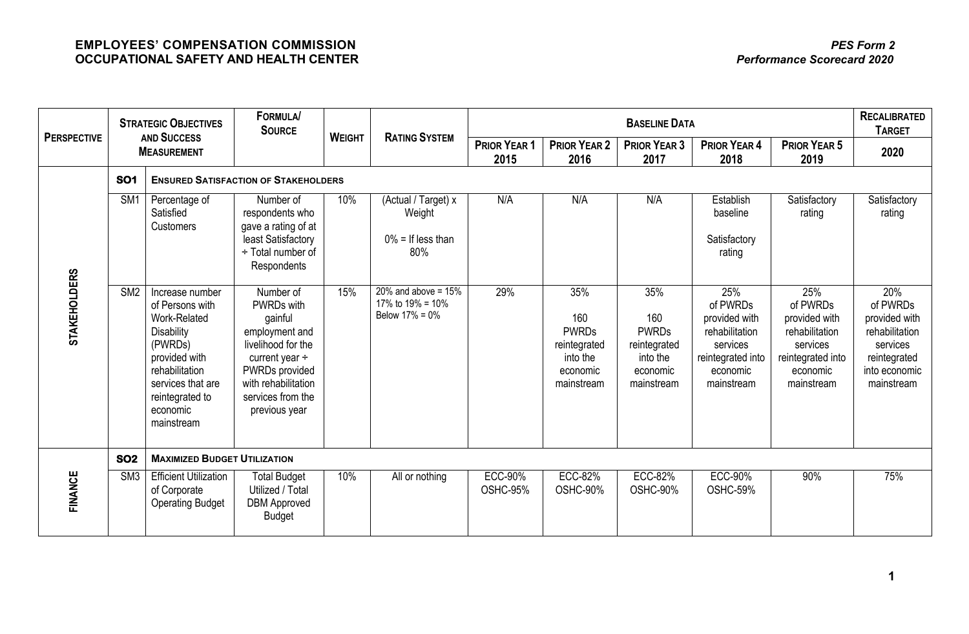| <b>PERSPECTIVE</b>  | <b>STRATEGIC OBJECTIVES</b><br><b>AND SUCCESS</b><br><b>MEASUREMENT</b> |                                                                                                                                                                                         | <b>FORMULA/</b><br><b>SOURCE</b>                                                                                                                                                 |               |                                                                 |                             | <b>RECALIBRATED</b><br><b>TARGET</b>                                             |                                                                                  |                                                                                                               |                                                                                                               |                                                                                                               |
|---------------------|-------------------------------------------------------------------------|-----------------------------------------------------------------------------------------------------------------------------------------------------------------------------------------|----------------------------------------------------------------------------------------------------------------------------------------------------------------------------------|---------------|-----------------------------------------------------------------|-----------------------------|----------------------------------------------------------------------------------|----------------------------------------------------------------------------------|---------------------------------------------------------------------------------------------------------------|---------------------------------------------------------------------------------------------------------------|---------------------------------------------------------------------------------------------------------------|
|                     |                                                                         |                                                                                                                                                                                         |                                                                                                                                                                                  | <b>WEIGHT</b> | <b>RATING SYSTEM</b>                                            | <b>PRIOR YEAR 1</b><br>2015 | <b>PRIOR YEAR 2</b><br>2016                                                      | <b>PRIOR YEAR 3</b><br>2017                                                      | <b>PRIOR YEAR 4</b><br>2018                                                                                   | <b>PRIOR YEAR 5</b><br>2019                                                                                   | 2020                                                                                                          |
|                     | <b>SO1</b>                                                              |                                                                                                                                                                                         | <b>ENSURED SATISFACTION OF STAKEHOLDERS</b>                                                                                                                                      |               |                                                                 |                             |                                                                                  |                                                                                  |                                                                                                               |                                                                                                               |                                                                                                               |
| <b>STAKEHOLDERS</b> | SM <sub>1</sub>                                                         | Percentage of<br>Satisfied<br>Customers                                                                                                                                                 | Number of<br>respondents who<br>gave a rating of at<br>least Satisfactory<br>÷ Total number of<br>Respondents                                                                    | 10%           | (Actual / Target) x<br>Weight<br>$0\%$ = If less than<br>80%    | N/A                         | N/A                                                                              | N/A                                                                              | Establish<br>baseline<br>Satisfactory<br>rating                                                               | Satisfactory<br>rating                                                                                        | Satisfactory<br>rating                                                                                        |
|                     | SM <sub>2</sub>                                                         | Increase number<br>of Persons with<br>Work-Related<br><b>Disability</b><br>(PWRDs)<br>provided with<br>rehabilitation<br>services that are<br>reintegrated to<br>economic<br>mainstream | Number of<br>PWRDs with<br>gainful<br>employment and<br>livelihood for the<br>current year $\div$<br>PWRDs provided<br>with rehabilitation<br>services from the<br>previous year | 15%           | 20% and above = $15%$<br>17% to $19\% = 10\%$<br>Below 17% = 0% | 29%                         | 35%<br>160<br><b>PWRDs</b><br>reintegrated<br>into the<br>economic<br>mainstream | 35%<br>160<br><b>PWRDs</b><br>reintegrated<br>into the<br>economic<br>mainstream | 25%<br>of PWRDs<br>provided with<br>rehabilitation<br>services<br>reintegrated into<br>economic<br>mainstream | 25%<br>of PWRDs<br>provided with<br>rehabilitation<br>services<br>reintegrated into<br>economic<br>mainstream | 20%<br>of PWRDs<br>provided with<br>rehabilitation<br>services<br>reintegrated<br>into economic<br>mainstream |
| FINANCE             | <b>SO2</b>                                                              | <b>MAXIMIZED BUDGET UTILIZATION</b>                                                                                                                                                     |                                                                                                                                                                                  |               |                                                                 |                             |                                                                                  |                                                                                  |                                                                                                               |                                                                                                               |                                                                                                               |
|                     | S <sub>M3</sub>                                                         | <b>Efficient Utilization</b><br>of Corporate<br><b>Operating Budget</b>                                                                                                                 | <b>Total Budget</b><br>Utilized / Total<br><b>DBM Approved</b><br><b>Budget</b>                                                                                                  | 10%           | All or nothing                                                  | <b>ECC-90%</b><br>OSHC-95%  | <b>ECC-82%</b><br>OSHC-90%                                                       | <b>ECC-82%</b><br>OSHC-90%                                                       | <b>ECC-90%</b><br>OSHC-59%                                                                                    | 90%                                                                                                           | 75%                                                                                                           |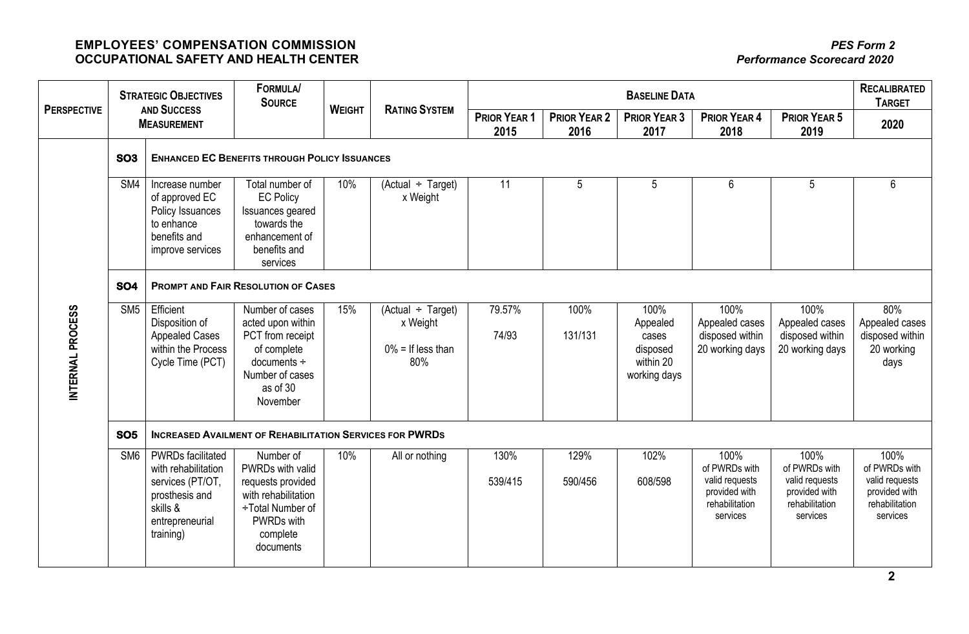| <b>PERSPECTIVE</b> | <b>STRATEGIC OBJECTIVES</b><br><b>AND SUCCESS</b><br><b>MEASUREMENT</b> |                                                                                                                                   | <b>FORMULA/</b><br><b>SOURCE</b>                                                                                                     |               |                                                                   |                      | <b>RECALIBRATED</b><br><b>TARGET</b> |                                                                    |                                                                                        |                                                                                        |                                                                                        |  |
|--------------------|-------------------------------------------------------------------------|-----------------------------------------------------------------------------------------------------------------------------------|--------------------------------------------------------------------------------------------------------------------------------------|---------------|-------------------------------------------------------------------|----------------------|--------------------------------------|--------------------------------------------------------------------|----------------------------------------------------------------------------------------|----------------------------------------------------------------------------------------|----------------------------------------------------------------------------------------|--|
|                    |                                                                         |                                                                                                                                   |                                                                                                                                      | <b>WEIGHT</b> | <b>RATING SYSTEM</b>                                              | PRIOR YEAR 1<br>2015 | <b>PRIOR YEAR 2</b><br>2016          | <b>PRIOR YEAR 3</b><br>2017                                        | <b>PRIOR YEAR 4</b><br>2018                                                            | <b>PRIOR YEAR 5</b><br>2019                                                            | 2020                                                                                   |  |
|                    | <b>SO3</b>                                                              | <b>ENHANCED EC BENEFITS THROUGH POLICY ISSUANCES</b>                                                                              |                                                                                                                                      |               |                                                                   |                      |                                      |                                                                    |                                                                                        |                                                                                        |                                                                                        |  |
|                    | SM4                                                                     | Increase number<br>of approved EC<br>Policy Issuances<br>to enhance<br>benefits and<br>improve services                           | Total number of<br><b>EC Policy</b><br>Issuances geared<br>towards the<br>enhancement of<br>benefits and<br>services                 | 10%           | $(Actual \div Target)$<br>x Weight                                | 11                   | 5                                    | 5                                                                  | 6                                                                                      | 5                                                                                      | 6                                                                                      |  |
|                    | <b>SO4</b>                                                              | <b>PROMPT AND FAIR RESOLUTION OF CASES</b>                                                                                        |                                                                                                                                      |               |                                                                   |                      |                                      |                                                                    |                                                                                        |                                                                                        |                                                                                        |  |
| INTERNAL PROCESS   | SM <sub>5</sub>                                                         | Efficient<br>Disposition of<br><b>Appealed Cases</b><br>within the Process<br>Cycle Time (PCT)                                    | Number of cases<br>acted upon within<br>PCT from receipt<br>of complete<br>$documents +$<br>Number of cases<br>as of 30<br>November  | 15%           | $(Actual \div Target)$<br>x Weight<br>$0\%$ = If less than<br>80% | 79.57%<br>74/93      | 100%<br>131/131                      | 100%<br>Appealed<br>cases<br>disposed<br>within 20<br>working days | 100%<br>Appealed cases<br>disposed within<br>20 working days                           | 100%<br>Appealed cases<br>disposed within<br>20 working days                           | 80%<br>Appealed cases<br>disposed within<br>20 working<br>days                         |  |
|                    | <b>SO5</b>                                                              | <b>INCREASED AVAILMENT OF REHABILITATION SERVICES FOR PWRDS</b>                                                                   |                                                                                                                                      |               |                                                                   |                      |                                      |                                                                    |                                                                                        |                                                                                        |                                                                                        |  |
|                    | SM6                                                                     | <b>PWRDs facilitated</b><br>with rehabilitation<br>services (PT/OT,<br>prosthesis and<br>skills &<br>entrepreneurial<br>training) | Number of<br>PWRDs with valid<br>requests provided<br>with rehabilitation<br>÷Total Number of<br>PWRDs with<br>complete<br>documents | 10%           | All or nothing                                                    | 130%<br>539/415      | 129%<br>590/456                      | 102%<br>608/598                                                    | 100%<br>of PWRDs with<br>valid requests<br>provided with<br>rehabilitation<br>services | 100%<br>of PWRDs with<br>valid requests<br>provided with<br>rehabilitation<br>services | 100%<br>of PWRDs with<br>valid requests<br>provided with<br>rehabilitation<br>services |  |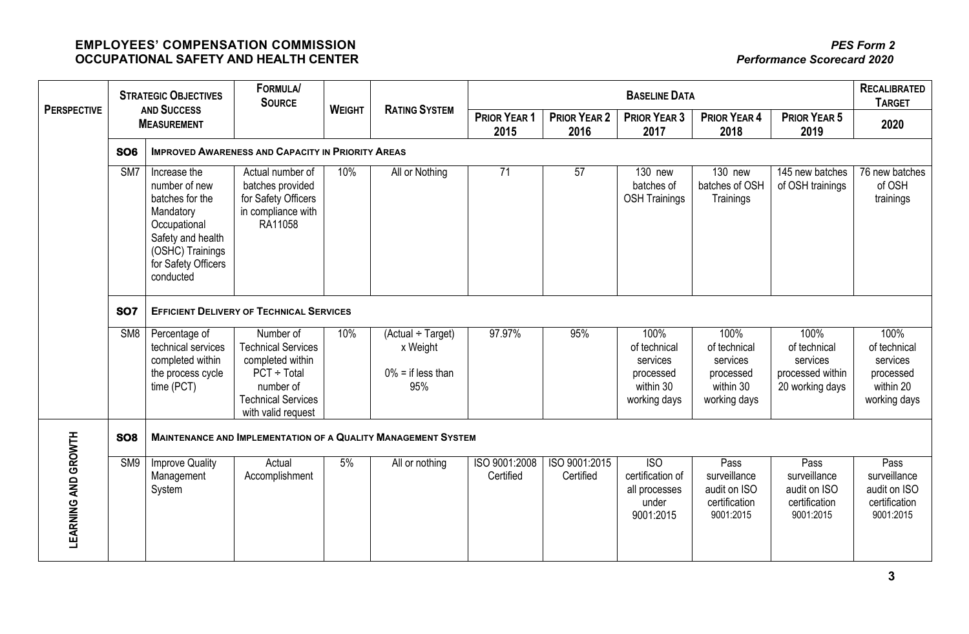|                            | <b>STRATEGIC OBJECTIVES</b><br><b>AND SUCCESS</b><br><b>MEASUREMENT</b> |                                                                                                                                                            | <b>FORMULA/</b><br><b>SOURCE</b>                                                                                                               |               |                                                                |                             | <b>RECALIBRATED</b><br><b>TARGET</b> |                                                                            |                                                                            |                                                                         |                                                                            |  |
|----------------------------|-------------------------------------------------------------------------|------------------------------------------------------------------------------------------------------------------------------------------------------------|------------------------------------------------------------------------------------------------------------------------------------------------|---------------|----------------------------------------------------------------|-----------------------------|--------------------------------------|----------------------------------------------------------------------------|----------------------------------------------------------------------------|-------------------------------------------------------------------------|----------------------------------------------------------------------------|--|
| <b>PERSPECTIVE</b>         |                                                                         |                                                                                                                                                            |                                                                                                                                                | <b>WEIGHT</b> | <b>RATING SYSTEM</b>                                           | <b>PRIOR YEAR 1</b><br>2015 | <b>PRIOR YEAR 2</b><br>2016          | <b>PRIOR YEAR 3</b><br>2017                                                | <b>PRIOR YEAR 4</b><br>2018                                                | <b>PRIOR YEAR 5</b><br>2019                                             | 2020                                                                       |  |
|                            | <b>SO6</b>                                                              | <b>IMPROVED AWARENESS AND CAPACITY IN PRIORITY AREAS</b>                                                                                                   |                                                                                                                                                |               |                                                                |                             |                                      |                                                                            |                                                                            |                                                                         |                                                                            |  |
|                            | SM7                                                                     | Increase the<br>number of new<br>batches for the<br>Mandatory<br>Occupational<br>Safety and health<br>(OSHC) Trainings<br>for Safety Officers<br>conducted | Actual number of<br>batches provided<br>for Safety Officers<br>in compliance with<br>RA11058                                                   | 10%           | All or Nothing                                                 | 71                          | 57                                   | 130 new<br>batches of<br><b>OSH Trainings</b>                              | 130 new<br>batches of OSH<br>Trainings                                     | 145 new batches<br>of OSH trainings                                     | 76 new batches<br>of OSH<br>trainings                                      |  |
|                            | <b>SO7</b>                                                              | <b>EFFICIENT DELIVERY OF TECHNICAL SERVICES</b>                                                                                                            |                                                                                                                                                |               |                                                                |                             |                                      |                                                                            |                                                                            |                                                                         |                                                                            |  |
|                            | SM8                                                                     | Percentage of<br>technical services<br>completed within<br>the process cycle<br>time (PCT)                                                                 | Number of<br><b>Technical Services</b><br>completed within<br>$PCT \div Total$<br>number of<br><b>Technical Services</b><br>with valid request | 10%           | $(Actual + Target)$<br>x Weight<br>$0\%$ = if less than<br>95% | 97.97%                      | 95%                                  | 100%<br>of technical<br>services<br>processed<br>within 30<br>working days | 100%<br>of technical<br>services<br>processed<br>within 30<br>working days | 100%<br>of technical<br>services<br>processed within<br>20 working days | 100%<br>of technical<br>services<br>processed<br>within 20<br>working days |  |
|                            | SO <sub>8</sub>                                                         | <b>MAINTENANCE AND IMPLEMENTATION OF A QUALITY MANAGEMENT SYSTEM</b>                                                                                       |                                                                                                                                                |               |                                                                |                             |                                      |                                                                            |                                                                            |                                                                         |                                                                            |  |
| <b>LEARNING AND GROWTH</b> | SM9                                                                     | <b>Improve Quality</b><br>Management<br>System                                                                                                             | Actual<br>Accomplishment                                                                                                                       | 5%            | All or nothing                                                 | ISO 9001:2008<br>Certified  | ISO 9001:2015<br>Certified           | <b>ISO</b><br>certification of<br>all processes<br>under<br>9001:2015      | Pass<br>surveillance<br>audit on ISO<br>certification<br>9001:2015         | Pass<br>surveillance<br>audit on ISO<br>certification<br>9001:2015      | Pass<br>surveillance<br>audit on ISO<br>certification<br>9001:2015         |  |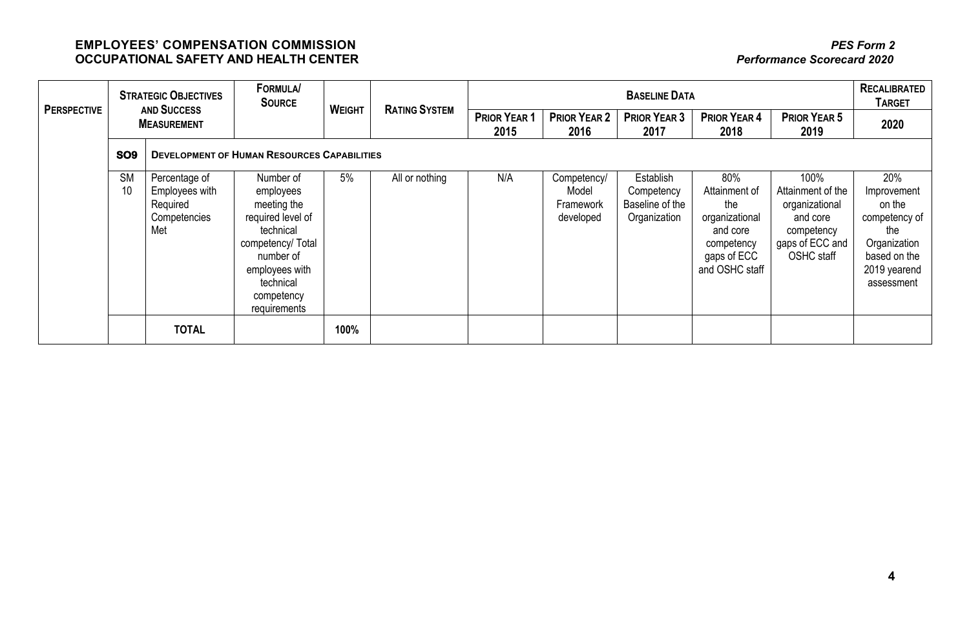| <b>PERSPECTIVE</b> | <b>STRATEGIC OBJECTIVES</b><br><b>AND SUCCESS</b><br><b>MEASUREMENT</b> |                                                                    | <b>FORMULA/</b><br><b>SOURCE</b>                                                                                                                                       | <b>WEIGHT</b> | <b>RATING SYSTEM</b> | <b>BASELINE DATA</b> |                                                       |                                                            |                                                                                                          |                                                                                                               | <b>RECALIBRATED</b><br><b>TARGET</b>                                                                               |
|--------------------|-------------------------------------------------------------------------|--------------------------------------------------------------------|------------------------------------------------------------------------------------------------------------------------------------------------------------------------|---------------|----------------------|----------------------|-------------------------------------------------------|------------------------------------------------------------|----------------------------------------------------------------------------------------------------------|---------------------------------------------------------------------------------------------------------------|--------------------------------------------------------------------------------------------------------------------|
|                    |                                                                         |                                                                    |                                                                                                                                                                        |               |                      | PRIOR YEAR 1<br>2015 | <b>PRIOR YEAR 2</b><br>2016                           | <b>PRIOR YEAR 3</b><br>2017                                | <b>PRIOR YEAR 4</b><br>2018                                                                              | <b>PRIOR YEAR 5</b><br>2019                                                                                   | 2020                                                                                                               |
|                    | SO <sub>9</sub>                                                         |                                                                    | <b>DEVELOPMENT OF HUMAN RESOURCES CAPABILITIES</b>                                                                                                                     |               |                      |                      |                                                       |                                                            |                                                                                                          |                                                                                                               |                                                                                                                    |
|                    | <b>SM</b><br>10                                                         | Percentage of<br>Employees with<br>Required<br>Competencies<br>Met | Number of<br>employees<br>meeting the<br>required level of<br>technical<br>competency/ Total<br>number of<br>employees with<br>technical<br>competency<br>requirements | 5%            | All or nothing       | N/A                  | Competency/<br>Model<br><b>Framework</b><br>developed | Establish<br>Competency<br>Baseline of the<br>Organization | 80%<br>Attainment of<br>the<br>organizational<br>and core<br>competency<br>gaps of ECC<br>and OSHC staff | 100%<br>Attainment of the<br>organizational<br>and core<br>competency<br>gaps of ECC and<br><b>OSHC</b> staff | 20%<br>Improvement<br>on the<br>competency of<br>the<br>Organization<br>based on the<br>2019 yearend<br>assessment |
|                    |                                                                         | <b>TOTAL</b>                                                       |                                                                                                                                                                        | 100%          |                      |                      |                                                       |                                                            |                                                                                                          |                                                                                                               |                                                                                                                    |